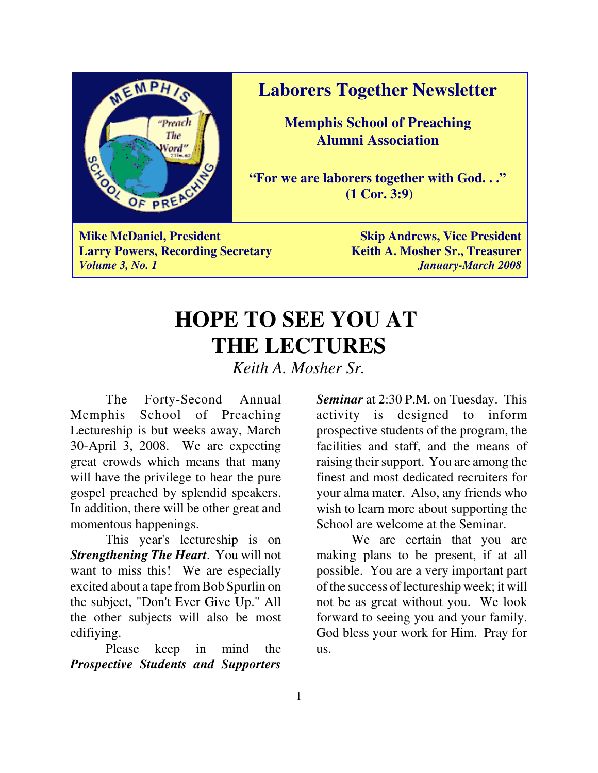

**Laborers Together Newsletter**

**Memphis School of Preaching Alumni Association**

**"For we are laborers together with God. . ." (1 Cor. 3:9)**

**Mike McDaniel, President Skip Andrews, Vice President Skip Andrews, Vice President Larry Powers, Recording Secretary Keith A. Mosher Sr., Treasurer** *Volume 3, No. 1 January-March 2008*

# **HOPE TO SEE YOU AT THE LECTURES**

*Keith A. Mosher Sr.*

The Forty-Second Annual Memphis School of Preaching Lectureship is but weeks away, March 30-April 3, 2008. We are expecting great crowds which means that many will have the privilege to hear the pure gospel preached by splendid speakers. In addition, there will be other great and momentous happenings.

This year's lectureship is on *Strengthening The Heart*. You will not want to miss this! We are especially excited about a tape from Bob Spurlin on the subject, "Don't Ever Give Up." All the other subjects will also be most edifiying.

Please keep in mind the *Prospective Students and Supporters*

*Seminar* at 2:30 P.M. on Tuesday. This activity is designed to inform prospective students of the program, the facilities and staff, and the means of raising their support. You are among the finest and most dedicated recruiters for your alma mater. Also, any friends who wish to learn more about supporting the School are welcome at the Seminar.

We are certain that you are making plans to be present, if at all possible. You are a very important part of the success of lectureship week; it will not be as great without you. We look forward to seeing you and your family. God bless your work for Him. Pray for us.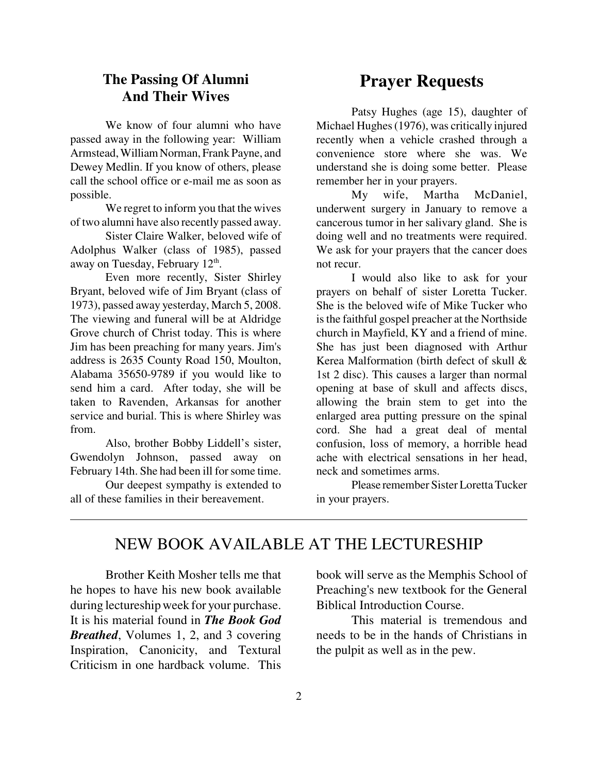#### **The Passing Of Alumni And Their Wives**

We know of four alumni who have passed away in the following year: William Armstead, William Norman, Frank Payne, and Dewey Medlin. If you know of others, please call the school office or e-mail me as soon as possible.

We regret to inform you that the wives of two alumni have also recently passed away.

Sister Claire Walker, beloved wife of Adolphus Walker (class of 1985), passed away on Tuesday, February 12<sup>th</sup>.

Even more recently, Sister Shirley Bryant, beloved wife of Jim Bryant (class of 1973), passed away yesterday, March 5, 2008. The viewing and funeral will be at Aldridge Grove church of Christ today. This is where Jim has been preaching for many years. Jim's address is 2635 County Road 150, Moulton, Alabama 35650-9789 if you would like to send him a card. After today, she will be taken to Ravenden, Arkansas for another service and burial. This is where Shirley was from.

Also, brother Bobby Liddell's sister, Gwendolyn Johnson, passed away on February 14th. She had been ill for some time.

Our deepest sympathy is extended to all of these families in their bereavement.

### **Prayer Requests**

Patsy Hughes (age 15), daughter of Michael Hughes (1976), was critically injured recently when a vehicle crashed through a convenience store where she was. We understand she is doing some better. Please remember her in your prayers.

My wife, Martha McDaniel, underwent surgery in January to remove a cancerous tumor in her salivary gland. She is doing well and no treatments were required. We ask for your prayers that the cancer does not recur.

I would also like to ask for your prayers on behalf of sister Loretta Tucker. She is the beloved wife of Mike Tucker who is the faithful gospel preacher at the Northside church in Mayfield, KY and a friend of mine. She has just been diagnosed with Arthur Kerea Malformation (birth defect of skull & 1st 2 disc). This causes a larger than normal opening at base of skull and affects discs, allowing the brain stem to get into the enlarged area putting pressure on the spinal cord. She had a great deal of mental confusion, loss of memory, a horrible head ache with electrical sensations in her head, neck and sometimes arms.

Please remember Sister Loretta Tucker in your prayers.

### NEW BOOK AVAILABLE AT THE LECTURESHIP

Brother Keith Mosher tells me that he hopes to have his new book available during lectureship week for your purchase. It is his material found in *The Book God Breathed*, Volumes 1, 2, and 3 covering Inspiration, Canonicity, and Textural Criticism in one hardback volume. This

book will serve as the Memphis School of Preaching's new textbook for the General Biblical Introduction Course.

This material is tremendous and needs to be in the hands of Christians in the pulpit as well as in the pew.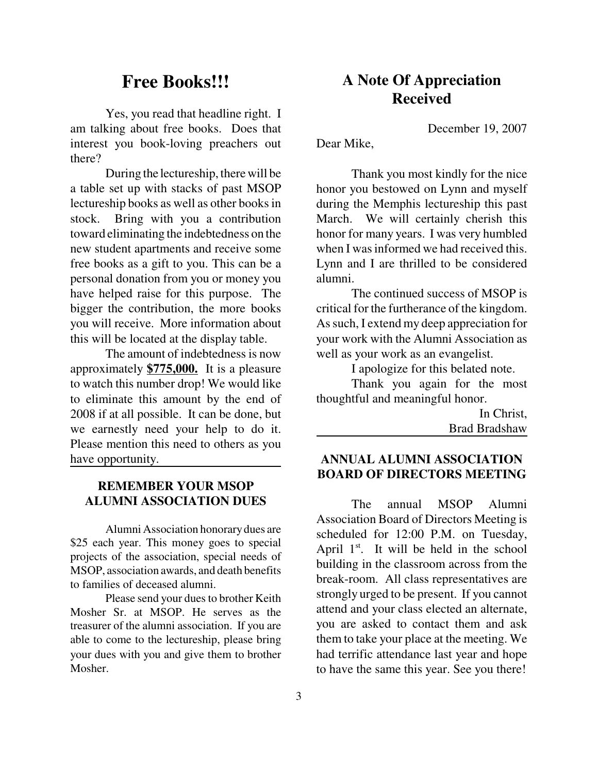### **Free Books!!!**

Yes, you read that headline right. I am talking about free books. Does that interest you book-loving preachers out there?

During the lectureship, there will be a table set up with stacks of past MSOP lectureship books as well as other books in stock. Bring with you a contribution toward eliminating the indebtedness on the new student apartments and receive some free books as a gift to you. This can be a personal donation from you or money you have helped raise for this purpose. The bigger the contribution, the more books you will receive. More information about this will be located at the display table.

The amount of indebtedness is now approximately **\$775,000.** It is a pleasure to watch this number drop! We would like to eliminate this amount by the end of 2008 if at all possible. It can be done, but we earnestly need your help to do it. Please mention this need to others as you have opportunity.

#### **REMEMBER YOUR MSOP ALUMNI ASSOCIATION DUES**

Alumni Association honorary dues are \$25 each year. This money goes to special projects of the association, special needs of MSOP, association awards, and death benefits to families of deceased alumni.

Please send your dues to brother Keith Mosher Sr. at MSOP. He serves as the treasurer of the alumni association. If you are able to come to the lectureship, please bring your dues with you and give them to brother Mosher.

#### **A Note Of Appreciation Received**

December 19, 2007

Dear Mike,

Thank you most kindly for the nice honor you bestowed on Lynn and myself during the Memphis lectureship this past March. We will certainly cherish this honor for many years. I was very humbled when I was informed we had received this. Lynn and I are thrilled to be considered alumni.

The continued success of MSOP is critical for the furtherance of the kingdom. As such, I extend my deep appreciation for your work with the Alumni Association as well as your work as an evangelist.

I apologize for this belated note.

Thank you again for the most thoughtful and meaningful honor.

> In Christ, Brad Bradshaw

#### **ANNUAL ALUMNI ASSOCIATION BOARD OF DIRECTORS MEETING**

The annual MSOP Alumni Association Board of Directors Meeting is scheduled for 12:00 P.M. on Tuesday, April  $1<sup>st</sup>$ . It will be held in the school building in the classroom across from the break-room. All class representatives are strongly urged to be present. If you cannot attend and your class elected an alternate, you are asked to contact them and ask them to take your place at the meeting. We had terrific attendance last year and hope to have the same this year. See you there!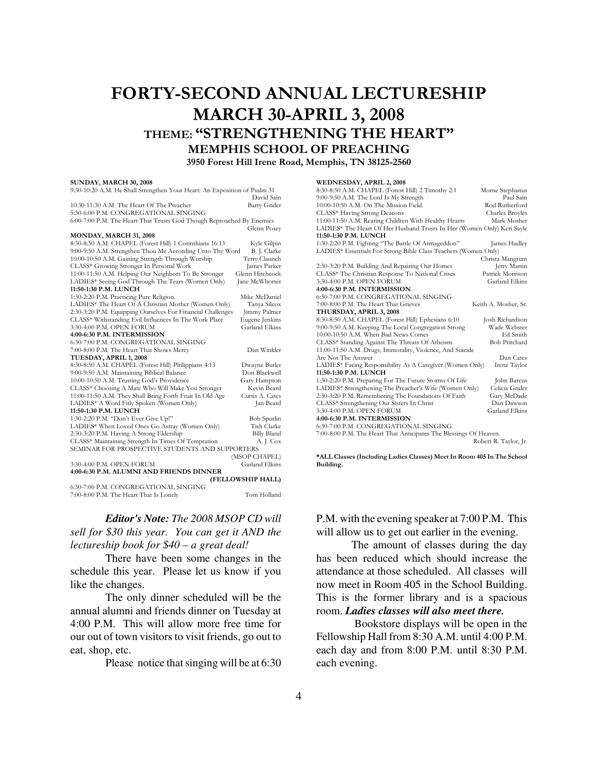#### FORTY-SECOND ANNUAL LECTURESHIP MARCH 30-APRIL 3, 2008 THEME: "STRENGTHENING THE HEART" MEMPHIS SCHOOL OF PREACHING 3950 Forest Hill Irene Road, Memphis, TN 38125-2560

#### SUNDAY, MARCH 30, 2008

| 9:30-10:20 A.M. He Shall Strengthen Your Heart: An Exposition of Psalm 31 |                    |  |
|---------------------------------------------------------------------------|--------------------|--|
|                                                                           | David Sain         |  |
| 10:30-11:30 A.M. The Heart Of The Preacher                                | Barry Grider       |  |
| 5:30-6:00 P.M. CONGREGATIONAL SINGING                                     |                    |  |
| 6:00-7:00 P.M. The Heart That Trusts God Though Reproached By Enemies     |                    |  |
|                                                                           | Glenn Posey        |  |
| <b>MONDAY, MARCH 31, 2008</b>                                             |                    |  |
| 8:30-8:50 A.M. CHAPEL (Forest Hill) 1 Corinthians 16:13                   | Kyle Gilpin        |  |
| 9:00-9:50 A.M. Strengthen Thou Me According Unto Thy Word                 | B. J. Clarke       |  |
| 10:00-10:50 A.M. Gaining Strength Through Worship                         | Terry Claunch      |  |
| CLASS* Growing Stronger In Personal Work                                  | James Parker       |  |
| 11:00-11:50 A.M. Helping Our Neighbors To Be Stronger                     | Glenn Hitchcock    |  |
| LADIES* Seeing God Through The Tears (Women Only)                         | Jane McWhorter     |  |
| 11:50-1:30 P.M. LUNCH                                                     |                    |  |
| 1:30-2:20 P.M. Practicing Pure Religion.                                  | Mike McDaniel      |  |
| LADIES* The Heart Of A Christian Mother (Women Only)                      | Tanya Silcox       |  |
| 2:30-3:20 P.M. Equipping Ourselves For Financial Challenges               | Jimmy Palmer       |  |
| CLASS* Withstanding Evil Influences In The Work Place                     | Eugene Jenkins     |  |
| 3:30-4:00 P.M. OPEN FORUM                                                 | Garland Elkins     |  |
| 4:00-6:30 P.M. INTERMISSION                                               |                    |  |
| 6:30-7:00 P.M. CONGREGATIONAL SINGING                                     |                    |  |
| 7:00-8:00 P.M. The Heart That Shows Mercy                                 | Dan Winkler        |  |
| TUESDAY, APRIL 1, 2008                                                    |                    |  |
| 8:30-8:50 A.M. CHAPEL (Forest Hill) Philippians 4:13                      | Dwayne Butler      |  |
| 9:00-9:50 A.M. Maintaining Biblical Balance                               | Don Blackwell      |  |
| 10:00-10:50 A.M. Trusting God's Providence                                | Gary Hampton       |  |
| CLASS* Choosing A Mate Who Will Make You Stronger                         | Kevin Beard        |  |
| 11:00-11:50 A.M. They Shall Bring Forth Fruit In Old Age                  | Curtis A. Cates    |  |
| LADIES* A Word Fitly Spoken (Women Only)                                  | Jan Beard          |  |
| 11:50-1:30 P.M. LUNCH                                                     |                    |  |
| 1:30-2:20 P.M. "Don't Ever Give Up!"                                      | Bob Spurlin        |  |
| LADIES* When Loved Ones Go Astray (Women Only)                            | Tish Clarke        |  |
| 2:30-3:20 P.M. Having A Strong Eldership                                  | <b>Billy Bland</b> |  |
| CLASS* Maintaining Strength In Times Of Temptation                        | A. J. Cox          |  |
| SEMINAR FOR PROSPECTIVE STUDENTS AND SUPPORTERS                           |                    |  |
|                                                                           | (MSOP CHAPEL)      |  |
| 3:30-4:00 P.M. OPEN FORUM                                                 | Garland Elkins     |  |
| 4:00-6:30 P.M. ALUMNI AND FRIENDS DINNER                                  |                    |  |
| (FELLOWSHIP HALL)                                                         |                    |  |
| 6:30-7:00 P.M. CONGREGATIONAL SINGING                                     |                    |  |
| 7:00-8:00 P.M. The Heart That Is Lonely                                   | Tom Holland        |  |

*Editor's Note: The 2008 MSOP CD will sell for \$30 this year. You can get it AND the lectureship book for \$40 – a great deal!* 

There have been some changes in the schedule this year. Please let us know if you like the changes.

The only dinner scheduled will be the annual alumni and friends dinner on Tuesday at 4:00 P.M. This will allow more free time for our out of town visitors to visit friends, go out to eat, shop, etc.

Please notice that singing will be at 6:30

#### WEDNESDAY, APRIL 2, 2009

| WEDNESDAY, APRIL 2, 2008                                               |                       |
|------------------------------------------------------------------------|-----------------------|
| 8:30-8:50 A.M. CHAPEL (Forest Hill) 2 Timothy 2:1                      | Morne Stephanus       |
| 9:00-9:50 A.M. The Lord Is My Strength                                 | Paul Sain             |
| 10:00-10:50 A.M. On The Mission Field.                                 | Rod Rutherford        |
| CLASS* Having Strong Deacons                                           | Charles Broyles       |
| 11:00-11:50 A.M. Rearing Children With Healthy Hearts                  | Mark Mosher           |
| LADIES* The Heart Of Her Husband Trusts In Her (Women Only) Keri Sayle |                       |
| 11:50-1:30 P.M. LUNCH                                                  |                       |
| 1:30-2:20 P.M. Fighting "The Battle Of Armageddon"                     | James Hudley          |
| LADIES* Essentials For Strong Bible Class Teachers (Women Only)        |                       |
|                                                                        | Christa Mangrum       |
| 2:30-3:20 P.M. Building And Repairing Our Homes                        | Jerry Martin          |
| CLASS* The Christian Response To National Crises                       | Patrick Morrison      |
| 3:30-4:00 P.M. OPEN FORUM                                              | Garland Elkins        |
| 4:00-6:30 P.M. INTERMISSION                                            |                       |
| 6:30-7:00 P.M. CONGREGATIONAL SINGING                                  |                       |
| 7:00-8:00 P.M. The Heart That Grieves                                  | Keith A. Mosher, Sr.  |
| THURSDAY, APRIL 3, 2008                                                |                       |
| 8:30-8:50 A.M. CHAPEL (Forest Hill) Ephesians 6:10                     | Josh Richardson       |
| 9:00-9:50 A.M. Keeping The Local Congregation Strong                   | Wade Webster          |
| 10:00-10:50 A.M. When Bad News Comes                                   | Ed Smith              |
| CLASS* Standing Against The Threats Of Atheism                         | <b>Bob Pritchard</b>  |
| 11:00-11:50 A.M. Drugs, Immorality, Violence, And Suicide              |                       |
| Are Not The Answer                                                     | Dan Cates             |
| LADIES* Facing Responsibility As A Caregiver (Women Only)              | Irene Taylor          |
| 11:50-1:30 P.M. LUNCH                                                  |                       |
| 1:30-2:20 P.M. Preparing For The Future Storms Of Life                 | John Barcus           |
| LADIES* Strengthening The Preacher's Wife (Women Only)                 | Celicia Grider        |
| 2:30-3:20 P.M. Remembering The Foundations Of Faith                    | Gary McDade           |
| CLASS* Strengthening Our Sisters In Christ                             | Dan Dawson            |
| 3:30-4:00 P.M. OPEN FORUM                                              | Garland Elkins        |
| 4:00-6:30 P.M. INTERMISSION                                            |                       |
| 6:30-7:00 P.M. CONGREGATIONAL SINGING                                  |                       |
| 7:00-8:00 P.M. The Heart That Anticipates The Blessings Of Heaven.     |                       |
|                                                                        | Robert R. Taylor, Jr. |
|                                                                        |                       |
|                                                                        |                       |

\*ALL Classes (Including Ladies Classes) Meet In Room 405 In The School Building.

P.M. with the evening speaker at 7:00 P.M. This will allow us to get out earlier in the evening.

The amount of classes during the day has been reduced which should increase the attendance at those scheduled. All classes will now meet in Room 405 in the School Building. This is the former library and is a spacious room. *Ladies classes will also meet there.*

 Bookstore displays will be open in the Fellowship Hall from 8:30 A.M. until 4:00 P.M. each day and from 8:00 P.M. until 8:30 P.M. each evening.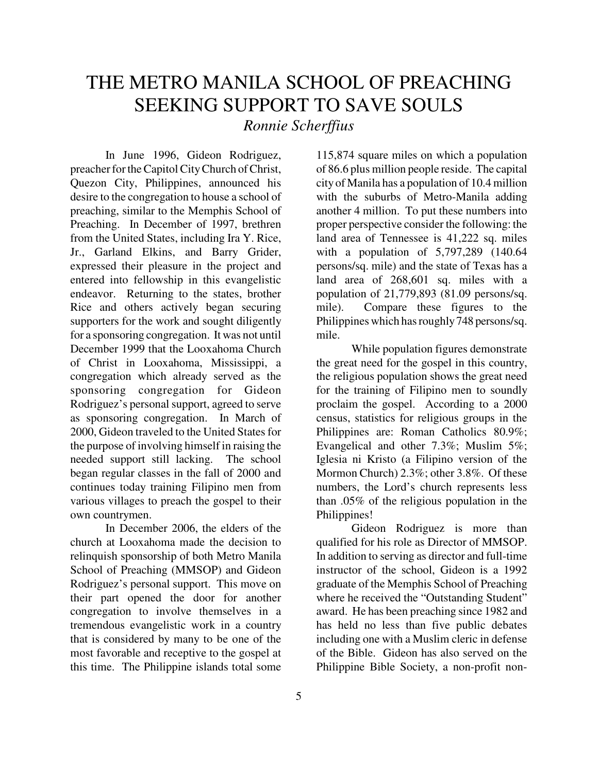## THE METRO MANILA SCHOOL OF PREACHING SEEKING SUPPORT TO SAVE SOULS

*Ronnie Scherffius*

In June 1996, Gideon Rodriguez, preacher for the Capitol City Church of Christ, Quezon City, Philippines, announced his desire to the congregation to house a school of preaching, similar to the Memphis School of Preaching. In December of 1997, brethren from the United States, including Ira Y. Rice, Jr., Garland Elkins, and Barry Grider, expressed their pleasure in the project and entered into fellowship in this evangelistic endeavor. Returning to the states, brother Rice and others actively began securing supporters for the work and sought diligently for a sponsoring congregation. It was not until December 1999 that the Looxahoma Church of Christ in Looxahoma, Mississippi, a congregation which already served as the sponsoring congregation for Gideon Rodriguez's personal support, agreed to serve as sponsoring congregation. In March of 2000, Gideon traveled to the United States for the purpose of involving himself in raising the needed support still lacking. The school began regular classes in the fall of 2000 and continues today training Filipino men from various villages to preach the gospel to their own countrymen.

In December 2006, the elders of the church at Looxahoma made the decision to relinquish sponsorship of both Metro Manila School of Preaching (MMSOP) and Gideon Rodriguez's personal support. This move on their part opened the door for another congregation to involve themselves in a tremendous evangelistic work in a country that is considered by many to be one of the most favorable and receptive to the gospel at this time. The Philippine islands total some

115,874 square miles on which a population of 86.6 plus million people reside. The capital city of Manila has a population of 10.4 million with the suburbs of Metro-Manila adding another 4 million. To put these numbers into proper perspective consider the following: the land area of Tennessee is 41,222 sq. miles with a population of 5,797,289 (140.64 persons/sq. mile) and the state of Texas has a land area of 268,601 sq. miles with a population of 21,779,893 (81.09 persons/sq. mile). Compare these figures to the Philippines which has roughly 748 persons/sq. mile.

While population figures demonstrate the great need for the gospel in this country, the religious population shows the great need for the training of Filipino men to soundly proclaim the gospel. According to a 2000 census, statistics for religious groups in the Philippines are: Roman Catholics 80.9%; Evangelical and other 7.3%; Muslim 5%; Iglesia ni Kristo (a Filipino version of the Mormon Church) 2.3%; other 3.8%. Of these numbers, the Lord's church represents less than .05% of the religious population in the Philippines!

Gideon Rodriguez is more than qualified for his role as Director of MMSOP. In addition to serving as director and full-time instructor of the school, Gideon is a 1992 graduate of the Memphis School of Preaching where he received the "Outstanding Student" award. He has been preaching since 1982 and has held no less than five public debates including one with a Muslim cleric in defense of the Bible. Gideon has also served on the Philippine Bible Society, a non-profit non